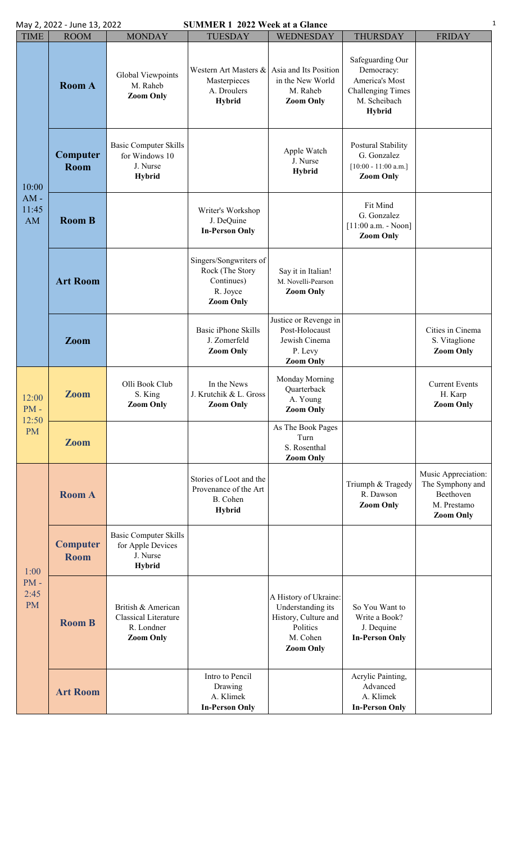| <b>SUMMER 1 2022 Week at a Glance</b><br>May 2, 2022 - June 13, 2022 |                                |                                                                                     |                                                                                         |                                                                                                                |                                                                                                        |                                                                                         |  |  |  |
|----------------------------------------------------------------------|--------------------------------|-------------------------------------------------------------------------------------|-----------------------------------------------------------------------------------------|----------------------------------------------------------------------------------------------------------------|--------------------------------------------------------------------------------------------------------|-----------------------------------------------------------------------------------------|--|--|--|
| <b>TIME</b>                                                          | <b>ROOM</b>                    | <b>MONDAY</b>                                                                       | <b>TUESDAY</b>                                                                          | WEDNESDAY                                                                                                      | <b>THURSDAY</b>                                                                                        | <b>FRIDAY</b>                                                                           |  |  |  |
| 10:00<br>$AM -$<br>11:45<br>AM                                       | <b>Room A</b>                  | Global Viewpoints<br>M. Raheb<br><b>Zoom Only</b>                                   | Western Art Masters &<br>Masterpieces<br>A. Droulers<br><b>Hybrid</b>                   | Asia and Its Position<br>in the New World<br>M. Raheb<br><b>Zoom Only</b>                                      | Safeguarding Our<br>Democracy:<br>America's Most<br><b>Challenging Times</b><br>M. Scheibach<br>Hybrid |                                                                                         |  |  |  |
|                                                                      | Computer<br>Room               | <b>Basic Computer Skills</b><br>for Windows 10<br>J. Nurse<br>Hybrid                |                                                                                         | Apple Watch<br>J. Nurse<br><b>Hybrid</b>                                                                       | Postural Stability<br>G. Gonzalez<br>$[10:00 - 11:00$ a.m.]<br><b>Zoom Only</b>                        |                                                                                         |  |  |  |
|                                                                      | <b>Room B</b>                  |                                                                                     | Writer's Workshop<br>J. DeQuine<br><b>In-Person Only</b>                                |                                                                                                                | Fit Mind<br>G. Gonzalez<br>$[11:00$ a.m. - Noon]<br><b>Zoom Only</b>                                   |                                                                                         |  |  |  |
|                                                                      | <b>Art Room</b>                |                                                                                     | Singers/Songwriters of<br>Rock (The Story<br>Continues)<br>R. Joyce<br><b>Zoom Only</b> | Say it in Italian!<br>M. Novelli-Pearson<br><b>Zoom Only</b>                                                   |                                                                                                        |                                                                                         |  |  |  |
|                                                                      | Zoom                           |                                                                                     | <b>Basic iPhone Skills</b><br>J. Zomerfeld<br><b>Zoom Only</b>                          | Justice or Revenge in<br>Post-Holocaust<br>Jewish Cinema<br>P. Levy<br><b>Zoom Only</b>                        |                                                                                                        | Cities in Cinema<br>S. Vitaglione<br><b>Zoom Only</b>                                   |  |  |  |
| 12:00<br>$PM -$<br>12:50<br><b>PM</b>                                | <b>Zoom</b>                    | Olli Book Club<br>S. King<br><b>Zoom Only</b>                                       | In the News<br>J. Krutchik & L. Gross<br><b>Zoom Only</b>                               | Monday Morning<br>Quarterback<br>A. Young<br><b>Zoom Only</b>                                                  |                                                                                                        | <b>Current Events</b><br>H. Karp<br><b>Zoom Only</b>                                    |  |  |  |
|                                                                      | <b>Zoom</b>                    |                                                                                     |                                                                                         | As The Book Pages<br>Turn<br>S. Rosenthal<br><b>Zoom Only</b>                                                  |                                                                                                        |                                                                                         |  |  |  |
| 1:00<br>$PM -$<br>2:45<br><b>PM</b>                                  | <b>Room A</b>                  |                                                                                     | Stories of Loot and the<br>Provenance of the Art<br>B. Cohen<br><b>Hybrid</b>           |                                                                                                                | Triumph & Tragedy<br>R. Dawson<br><b>Zoom Only</b>                                                     | Music Appreciation:<br>The Symphony and<br>Beethoven<br>M. Prestamo<br><b>Zoom Only</b> |  |  |  |
|                                                                      | <b>Computer</b><br><b>Room</b> | <b>Basic Computer Skills</b><br>for Apple Devices<br>J. Nurse<br><b>Hybrid</b>      |                                                                                         |                                                                                                                |                                                                                                        |                                                                                         |  |  |  |
|                                                                      | <b>Room B</b>                  | British & American<br><b>Classical Literature</b><br>R. Londner<br><b>Zoom Only</b> |                                                                                         | A History of Ukraine:<br>Understanding its<br>History, Culture and<br>Politics<br>M. Cohen<br><b>Zoom Only</b> | So You Want to<br>Write a Book?<br>J. Dequine<br><b>In-Person Only</b>                                 |                                                                                         |  |  |  |
|                                                                      | <b>Art Room</b>                |                                                                                     | Intro to Pencil<br>Drawing<br>A. Klimek<br><b>In-Person Only</b>                        |                                                                                                                | Acrylic Painting,<br>Advanced<br>A. Klimek<br><b>In-Person Only</b>                                    |                                                                                         |  |  |  |